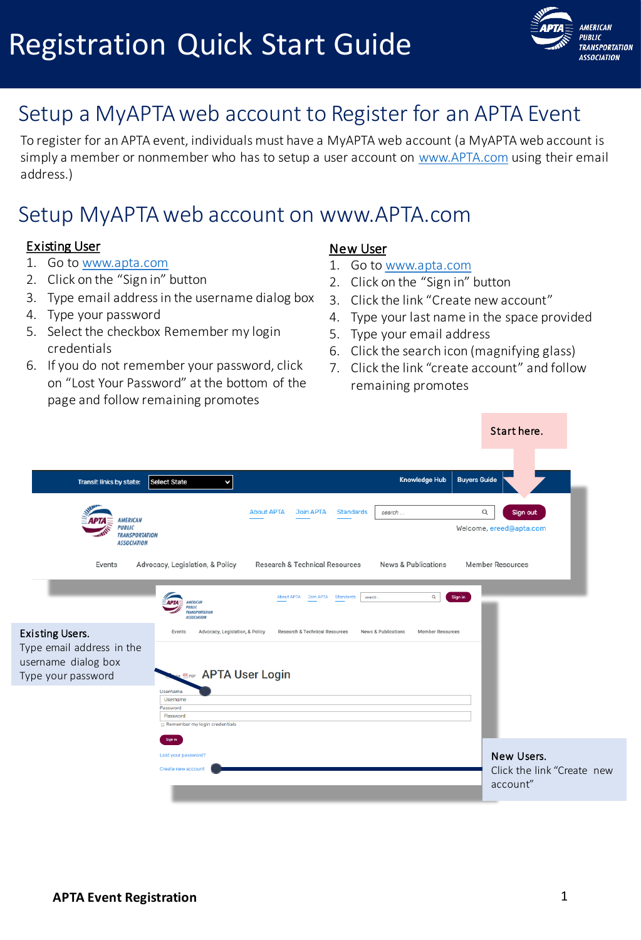

## Setup a MyAPTA web account to Register for an APTA Event

To register for an APTA event, individuals must have a MyAPTA web account (a MyAPTA web account is simply a member or nonmember who has to setup a user account on [www.APTA.com](http://www.apta.com/) using their email address.)

### Setup MyAPTA web account on www.APTA.com

#### Existing User

- 1. Go to [www.apta.com](http://www.apta.com/)
- 2. Click on the "Sign in" button
- 3. Type email address in the username dialog box
- 4. Type your password
- 5. Select the checkbox Remember my login credentials
- 6. If you do not remember your password, click on "Lost Your Password" at the bottom of the page and follow remaining promotes

#### New User

- 1. Go to [www.apta.com](http://www.apta.com/)
- 2. Click on the "Sign in" button
- 3. Click the link "Create new account"
- 4. Type your last name in the space provided
- 5. Type your email address
- 6. Click the search icon (magnifying glass)
- 7. Click the link "create account" and follow remaining promotes

Start here.

| Select State<br>K                                                                                                                 |                                                                                        |                                                                |                                                                                               |
|-----------------------------------------------------------------------------------------------------------------------------------|----------------------------------------------------------------------------------------|----------------------------------------------------------------|-----------------------------------------------------------------------------------------------|
| <b>TRANSPORTATION</b>                                                                                                             | <b>About APTA</b><br><b>Join APTA</b><br><b>Standards</b><br>search                    | Q                                                              | Sign out<br>Welcome, ereed@apta.com                                                           |
| Advocacy, Legislation, & Policy<br><b>APTA</b><br><b>AMERICAN</b><br><b>PUBLIC</b><br><b>TRANSPORTATION</b><br><b>ASSOCIATION</b> | Research & Technical Resources<br>$\alpha$<br>About APTA Join APTA Standards<br>search | Sign in                                                        | <b>Member Resources</b>                                                                       |
| Events<br><b>Username</b>                                                                                                         | Research & Technical Resources<br>News & Publications                                  |                                                                |                                                                                               |
| Username<br>Password<br>Password<br>Remember my login credentials                                                                 |                                                                                        |                                                                |                                                                                               |
| Sign in<br>Lost your password?<br>Create new account                                                                              |                                                                                        |                                                                | New Users.<br>Click the link "Create new<br>account"                                          |
|                                                                                                                                   |                                                                                        | Advocacy, Legislation, & Policy<br><b>EPDF</b> APTA User Login | <b>Knowledge Hub</b><br><b>Buyers Guide</b><br>News & Publications<br><b>Member Resources</b> |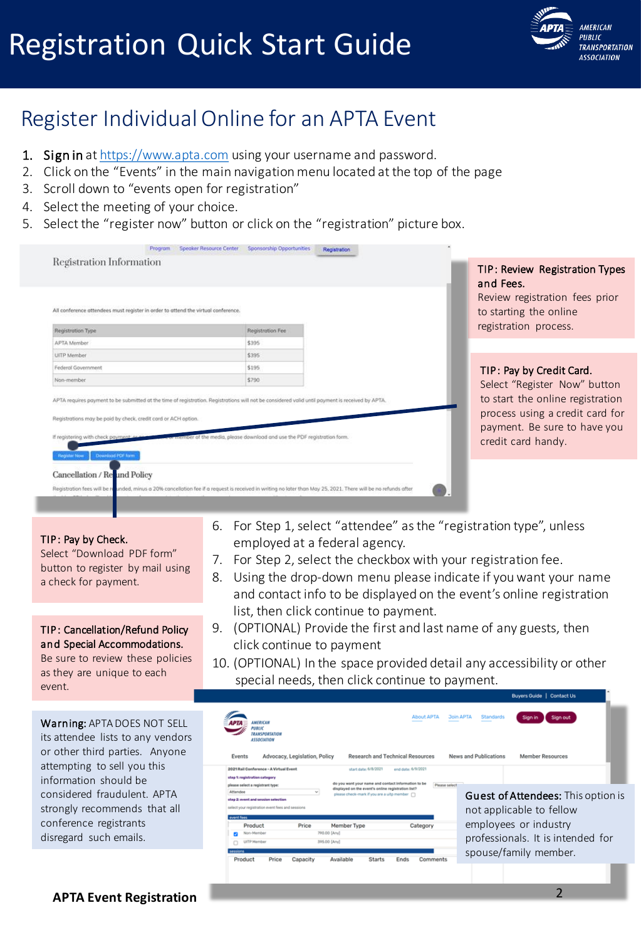

### Register Individual Online for an APTA Event

- 1. Sign in at [https://www.apta.com](https://www.apta.com/) using your username and password.
- 2. Click on the "Events" in the main navigation menu located at the top of the page
- 3. Scroll down to "events open for registration"
- 4. Select the meeting of your choice.
- 5. Select the "register now" button or click on the "registration" picture box.

| Registration Information                                                                                                                                                                                                                                                                                                                                        |                                                                  | TIP: Review Registration Types                                                                                                                            |
|-----------------------------------------------------------------------------------------------------------------------------------------------------------------------------------------------------------------------------------------------------------------------------------------------------------------------------------------------------------------|------------------------------------------------------------------|-----------------------------------------------------------------------------------------------------------------------------------------------------------|
| All conference attendees must register in order to attend the virtual conference.<br>Registration Type                                                                                                                                                                                                                                                          | Registration Fee                                                 | and Fees.<br>Review registration fees prior<br>to starting the online<br>registration process.                                                            |
| APTA Member                                                                                                                                                                                                                                                                                                                                                     | \$395                                                            |                                                                                                                                                           |
| <b>UITP</b> Member                                                                                                                                                                                                                                                                                                                                              | \$395                                                            |                                                                                                                                                           |
| Federal Government                                                                                                                                                                                                                                                                                                                                              | \$195                                                            | TIP: Pay by Credit Card.                                                                                                                                  |
| Non-member                                                                                                                                                                                                                                                                                                                                                      | \$790                                                            |                                                                                                                                                           |
|                                                                                                                                                                                                                                                                                                                                                                 |                                                                  |                                                                                                                                                           |
|                                                                                                                                                                                                                                                                                                                                                                 | of the media, please download and use the PDF registration form. | Select "Register Now" button<br>to start the online registration<br>process using a credit card for<br>payment. Be sure to have you<br>credit card handy. |
| APTA requires poyment to be submitted at the time of registration. Registrations will not be considered valid until poyment is received by APTA.<br>Registrations may be paid by check, credit card or ACH option.<br>If registering with check payment: neighborhood<br>Download PDF form<br><b><i><u>Indictar Now</u></i></b><br>Cancellation / Re und Policy |                                                                  |                                                                                                                                                           |

TIP: Pay by Check.

Select "Download PDF form" button to register by mail using a check for payment.

TIP: Cancellation/Refund Policy and Special Accommodations.

Be sure to review these policies as they are unique to each event.

Warning: APTA DOES NOT SELL its attendee lists to any vendors or other third parties. Anyone attempting to sell you this information should be considered fraudulent. APTA strongly recommends that all conference registrants disregard such emails.

- 6. For Step 1, select "attendee" as the "registration type", unless employed at a federal agency.
- 7. For Step 2, select the checkbox with your registration fee.
- 8. Using the drop-down menu please indicate if you want your name and contact info to be displayed on the event's online registration list, then click continue to payment.
- 9. (OPTIONAL) Provide the first and last name of any guests, then click continue to payment
- 10. (OPTIONAL) In the space provided detail any accessibility or other special needs, then click continue to payment.

| <b><i>LMFRNCAN</i></b><br><b>PUBLIC</b><br><b>TRANSPORTATION</b><br>ASSOCIATION                                                                                                                                              |                                         |                                                                                                                                                                                     | <b>About APTA</b><br>Research and Technical Resources | <b>Join APTA</b><br><b>Standards</b><br>Sign in<br>Sign out<br>News and Publications<br>Member Resources        |
|------------------------------------------------------------------------------------------------------------------------------------------------------------------------------------------------------------------------------|-----------------------------------------|-------------------------------------------------------------------------------------------------------------------------------------------------------------------------------------|-------------------------------------------------------|-----------------------------------------------------------------------------------------------------------------|
| Events<br>2021 Rail Conference - A Virtual Event<br>step 1: registration category<br>please select a registrant type:<br>Attendee<br>step 2: event and session selection<br>select your registration event fees and sessions | Advocacy, Legislation, Policy<br>$\sim$ | start date: 6/8/2021<br>do you want your name and contact information to be<br>displayed on the event's online registration list?<br>please check-mark if you are a uitp member [7] | end date: 6/9/2021                                    | Please select<br><b>Guest of Attendees:</b> This option is                                                      |
| event fees<br>Product<br>Non-Member<br><b>UITP Mamber</b><br>sessions<br>Product<br>Price                                                                                                                                    | Price<br>Capacity                       | Member Type<br>790.00 [Anv]<br>395.00 [Anv]<br>Available<br><b>Starts</b>                                                                                                           | Category<br>Ends<br>Comments                          | not applicable to fellow<br>employees or industry<br>professionals. It is intended for<br>spouse/family member. |